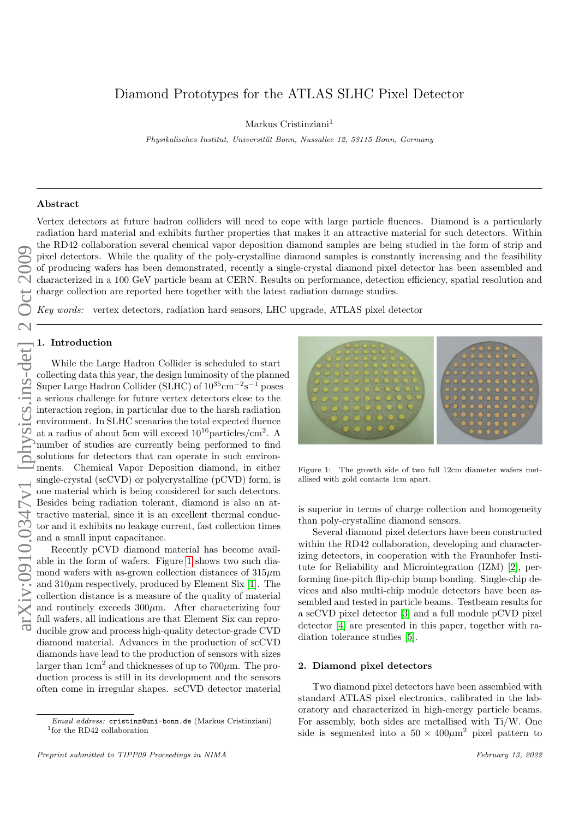# arXiv:0910.0347v1 [physics.ins-det] 2 Oct 2009

# Diamond Prototypes for the ATLAS SLHC Pixel Detector

Markus Cristinziani<sup>1</sup>

Physikalisches Institut, Universität Bonn, Nussallee 12, 53115 Bonn, Germany

### Abstract

Vertex detectors at future hadron colliders will need to cope with large particle fluences. Diamond is a particularly radiation hard material and exhibits further properties that makes it an attractive material for such detectors. Within the RD42 collaboration several chemical vapor deposition diamond samples are being studied in the form of strip and pixel detectors. While the quality of the poly-crystalline diamond samples is constantly increasing and the feasibility of producing wafers has been demonstrated, recently a single-crystal diamond pixel detector has been assembled and characterized in a 100 GeV particle beam at CERN. Results on performance, detection efficiency, spatial resolution and charge collection are reported here together with the latest radiation damage studies.

Key words: vertex detectors, radiation hard sensors, LHC upgrade, ATLAS pixel detector

# 1. Introduction

While the Large Hadron Collider is scheduled to start collecting data this year, the design luminosity of the planned Super Large Hadron Collider (SLHC) of  $10^{35}$ cm<sup>-2</sup>s<sup>-1</sup> poses a serious challenge for future vertex detectors close to the interaction region, in particular due to the harsh radiation environment. In SLHC scenarios the total expected fluence at a radius of about 5cm will exceed  $10^{16}$  particles/cm<sup>2</sup>. A number of studies are currently being performed to find solutions for detectors that can operate in such environments. Chemical Vapor Deposition diamond, in either single-crystal (scCVD) or polycrystalline (pCVD) form, is one material which is being considered for such detectors. Besides being radiation tolerant, diamond is also an attractive material, since it is an excellent thermal conductor and it exhibits no leakage current, fast collection times and a small input capacitance.

Recently pCVD diamond material has become available in the form of wafers. Figure [1](#page-0-0) shows two such diamond wafers with as-grown collection distances of  $315\mu$ m and  $310\mu$ m respectively, produced by Element Six [\[1\]](#page-2-0). The collection distance is a measure of the quality of material and routinely exceeds  $300\mu$ m. After characterizing four full wafers, all indications are that Element Six can reproducible grow and process high-quality detector-grade CVD diamond material. Advances in the production of scCVD diamonds have lead to the production of sensors with sizes larger than  $1 \text{cm}^2$  and thicknesses of up to  $700 \mu \text{m}$ . The production process is still in its development and the sensors often come in irregular shapes. scCVD detector material



<span id="page-0-0"></span>Figure 1: The growth side of two full 12cm diameter wafers metallised with gold contacts 1cm apart.

is superior in terms of charge collection and homogeneity than poly-crystalline diamond sensors.

Several diamond pixel detectors have been constructed within the RD42 collaboration, developing and characterizing detectors, in cooperation with the Fraunhofer Institute for Reliability and Microintegration (IZM) [\[2\]](#page-2-1), performing fine-pitch flip-chip bump bonding. Single-chip devices and also multi-chip module detectors have been assembled and tested in particle beams. Testbeam results for a scCVD pixel detector [\[3\]](#page-2-2) and a full module pCVD pixel detector [\[4\]](#page-2-3) are presented in this paper, together with radiation tolerance studies [\[5\]](#page-2-4).

# 2. Diamond pixel detectors

Two diamond pixel detectors have been assembled with standard ATLAS pixel electronics, calibrated in the laboratory and characterized in high-energy particle beams. For assembly, both sides are metallised with Ti/W. One side is segmented into a  $50 \times 400 \mu m^2$  pixel pattern to

Email address: cristinz@uni-bonn.de (Markus Cristinziani) 1 for the RD42 collaboration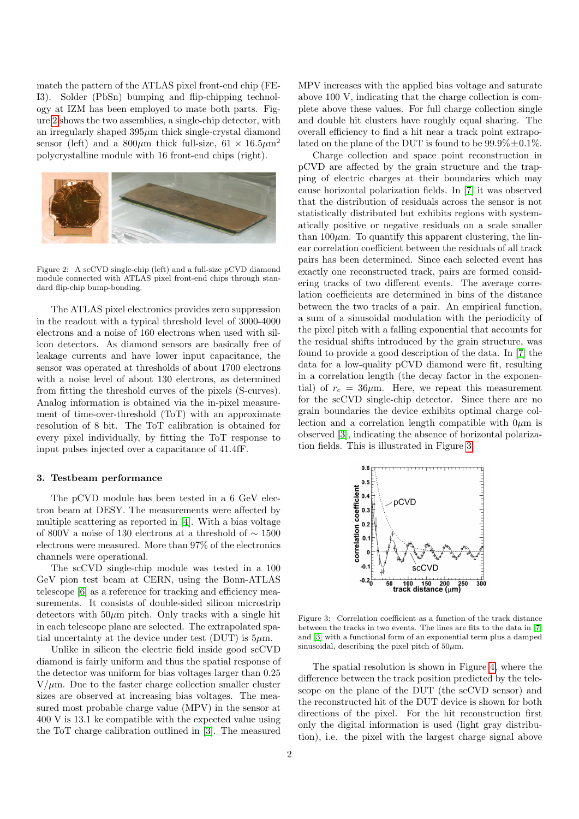match the pattern of the ATLAS pixel front-end chip (FE-I3). Solder (PbSn) bumping and flip-chipping technology at IZM has been employed to mate both parts. Figure [2](#page-1-0) shows the two assemblies, a single-chip detector, with an irregularly shaped  $395\mu m$  thick single-crystal diamond sensor (left) and a  $800\mu$ m thick full-size,  $61 \times 16.5\mu$ m<sup>2</sup> polycrystalline module with 16 front-end chips (right).



Figure 2: A scCVD single-chip (left) and a full-size pCVD diamond module connected with ATLAS pixel front-end chips through standard flip-chip bump-bonding.

<span id="page-1-0"></span>The ATLAS pixel electronics provides zero suppression in the readout with a typical threshold level of 3000-4000 electrons and a noise of 160 electrons when used with silicon detectors. As diamond sensors are basically free of leakage currents and have lower input capacitance, the sensor was operated at thresholds of about 1700 electrons with a noise level of about 130 electrons, as determined from fitting the threshold curves of the pixels (S-curves). Analog information is obtained via the in-pixel measurement of time-over-threshold (ToT) with an approximate resolution of 8 bit. The ToT calibration is obtained for every pixel individually, by fitting the ToT response to input pulses injected over a capacitance of 41.4fF.

### 3. Testbeam performance

The pCVD module has been tested in a 6 GeV electron beam at DESY. The measurements were affected by multiple scattering as reported in [\[4\]](#page-2-3). With a bias voltage of 800V a noise of 130 electrons at a threshold of ∼ 1500 electrons were measured. More than 97% of the electronics channels were operational.

The scCVD single-chip module was tested in a 100 GeV pion test beam at CERN, using the Bonn-ATLAS telescope [\[6\]](#page-2-5) as a reference for tracking and efficiency measurements. It consists of double-sided silicon microstrip detectors with  $50\mu m$  pitch. Only tracks with a single hit in each telescope plane are selected. The extrapolated spatial uncertainty at the device under test (DUT) is  $5\mu$ m.

Unlike in silicon the electric field inside good scCVD diamond is fairly uniform and thus the spatial response of the detector was uniform for bias voltages larger than 0.25  $V/\mu$ m. Due to the faster charge collection smaller cluster sizes are observed at increasing bias voltages. The measured most probable charge value (MPV) in the sensor at 400 V is 13.1 ke compatible with the expected value using the ToT charge calibration outlined in [\[3\]](#page-2-2). The measured

MPV increases with the applied bias voltage and saturate above 100 V, indicating that the charge collection is complete above these values. For full charge collection single and double hit clusters have roughly equal sharing. The overall efficiency to find a hit near a track point extrapolated on the plane of the DUT is found to be  $99.9\% \pm 0.1\%$ .

Charge collection and space point reconstruction in pCVD are affected by the grain structure and the trapping of electric charges at their boundaries which may cause horizontal polarization fields. In [\[7\]](#page-2-6) it was observed that the distribution of residuals across the sensor is not statistically distributed but exhibits regions with systematically positive or negative residuals on a scale smaller than  $100\mu$ m. To quantify this apparent clustering, the linear correlation coefficient between the residuals of all track pairs has been determined. Since each selected event has exactly one reconstructed track, pairs are formed considering tracks of two different events. The average correlation coefficients are determined in bins of the distance between the two tracks of a pair. An empirical function, a sum of a sinusoidal modulation with the periodicity of the pixel pitch with a falling exponential that accounts for the residual shifts introduced by the grain structure, was found to provide a good description of the data. In [\[7\]](#page-2-6) the data for a low-quality pCVD diamond were fit, resulting in a correlation length (the decay factor in the exponential) of  $r_c = 36 \mu m$ . Here, we repeat this measurement for the scCVD single-chip detector. Since there are no grain boundaries the device exhibits optimal charge collection and a correlation length compatible with  $0\mu$ m is observed [\[3\]](#page-2-2), indicating the absence of horizontal polarization fields. This is illustrated in Figure [3.](#page-1-1)



<span id="page-1-1"></span>Figure 3: Correlation coefficient as a function of the track distance between the tracks in two events. The lines are fits to the data in [\[7\]](#page-2-6) and [\[3\]](#page-2-2) with a functional form of an exponential term plus a damped sinusoidal, describing the pixel pitch of  $50\mu$ m.

The spatial resolution is shown in Figure [4,](#page-2-7) where the difference between the track position predicted by the telescope on the plane of the DUT (the scCVD sensor) and the reconstructed hit of the DUT device is shown for both directions of the pixel. For the hit reconstruction first only the digital information is used (light gray distribution), i.e. the pixel with the largest charge signal above